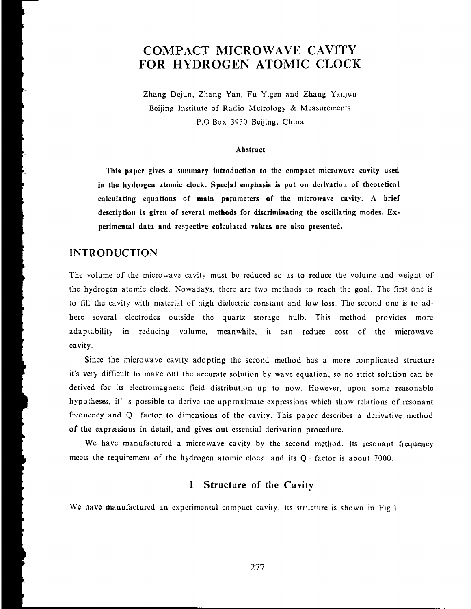# **COMPACT MICROWAVE CAVITY FOR HYDROGEN ATOMIC CLOCK**

Zhang Dcjun, Zhang Yan, Fu Yigen and Zhang Yanjun Beiling Institute of Radio Metrology & Measurements **P.O.Box** 3930 Bcijing, China

#### **Abstract**

**This paper gives a summary Introducdon to the compact microwave cavity used**  in the hydrogen atomic clock. Special emphasis is put on derivation of theoretical **calculating equations of main parameters of the microwave cavity. A brief description is given of several methods for discriminating the oscillating modes. Experimental data and respective calculated values are also presented.** 

## **INTRODUCTION**

**I** 

The volume of the microwave cavity must be reduced so as to reduce the volume and weight of thc hydrogen atomic clock. Nowadays, thcrc arc two mcthods to rcach the goal. The first onc is to fill thc cavity with matcrial of high dielectric constant and low loss. The sccond onc is Lo adhere scvcral clcctrodcs outside thc quartz storagc bulb. This mcthod provides morc adaptability in reducing volume, meanwhile, it can reduce cost of the microwave cavity.

Since thc microwave cavity adopting **the** sccond mcthod has a more complicated structure it's very difficult to makc out the accuratc solution by wave equation, so no strict solution can be derived for its electromagnetic field distribution up to now. However, upon some reasonable hypotheses, it' s possible to derive the approximate expressions which show relations of resonant frequency and  $Q$ -factor to dimensions of the cavity. This paper describes a derivative method of the expressions in detail, and gives out essential derivation procedure.

We have manufactured a microwave cavity by the second method. Its resonant frequency meets the requirement of the hydrogen atomic clock, and its  $Q$ -factor is about 7000.

## **I Structure of the Cavity**

Wc **bavc** manufactured an cxpcrimcntal compact cavity. **Its** structure is shown in **Fig.1.**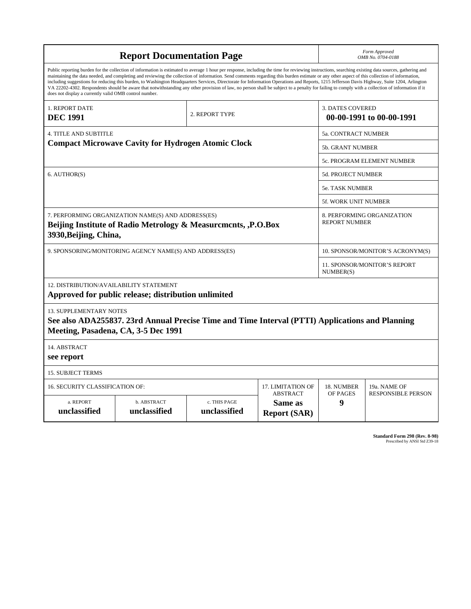| <b>Report Documentation Page</b>                                                                                                                                                                                                                                                                                                                                                                                                                                                                                                                                                                                                                                                                                                                                                                                                                                   |                             |                              |                                                     | Form Approved<br>OMB No. 0704-0188                 |                           |
|--------------------------------------------------------------------------------------------------------------------------------------------------------------------------------------------------------------------------------------------------------------------------------------------------------------------------------------------------------------------------------------------------------------------------------------------------------------------------------------------------------------------------------------------------------------------------------------------------------------------------------------------------------------------------------------------------------------------------------------------------------------------------------------------------------------------------------------------------------------------|-----------------------------|------------------------------|-----------------------------------------------------|----------------------------------------------------|---------------------------|
| Public reporting burden for the collection of information is estimated to average 1 hour per response, including the time for reviewing instructions, searching existing data sources, gathering and<br>maintaining the data needed, and completing and reviewing the collection of information. Send comments regarding this burden estimate or any other aspect of this collection of information,<br>including suggestions for reducing this burden, to Washington Headquarters Services, Directorate for Information Operations and Reports, 1215 Jefferson Davis Highway, Suite 1204, Arlington<br>VA 22202-4302. Respondents should be aware that notwithstanding any other provision of law, no person shall be subject to a penalty for failing to comply with a collection of information if it<br>does not display a currently valid OMB control number. |                             |                              |                                                     |                                                    |                           |
| 1. REPORT DATE<br>2. REPORT TYPE<br><b>DEC 1991</b>                                                                                                                                                                                                                                                                                                                                                                                                                                                                                                                                                                                                                                                                                                                                                                                                                |                             |                              | <b>3. DATES COVERED</b><br>00-00-1991 to 00-00-1991 |                                                    |                           |
| <b>4. TITLE AND SUBTITLE</b>                                                                                                                                                                                                                                                                                                                                                                                                                                                                                                                                                                                                                                                                                                                                                                                                                                       |                             |                              |                                                     | 5a. CONTRACT NUMBER                                |                           |
| <b>Compact Microwave Cavity for Hydrogen Atomic Clock</b>                                                                                                                                                                                                                                                                                                                                                                                                                                                                                                                                                                                                                                                                                                                                                                                                          |                             |                              |                                                     | <b>5b. GRANT NUMBER</b>                            |                           |
|                                                                                                                                                                                                                                                                                                                                                                                                                                                                                                                                                                                                                                                                                                                                                                                                                                                                    |                             |                              |                                                     | 5c. PROGRAM ELEMENT NUMBER                         |                           |
| 6. AUTHOR(S)                                                                                                                                                                                                                                                                                                                                                                                                                                                                                                                                                                                                                                                                                                                                                                                                                                                       |                             |                              |                                                     | <b>5d. PROJECT NUMBER</b>                          |                           |
|                                                                                                                                                                                                                                                                                                                                                                                                                                                                                                                                                                                                                                                                                                                                                                                                                                                                    |                             |                              |                                                     | <b>5e. TASK NUMBER</b>                             |                           |
|                                                                                                                                                                                                                                                                                                                                                                                                                                                                                                                                                                                                                                                                                                                                                                                                                                                                    |                             |                              |                                                     | 5f. WORK UNIT NUMBER                               |                           |
| 7. PERFORMING ORGANIZATION NAME(S) AND ADDRESS(ES)<br>Beijing Institute of Radio Metrology & Measurcments, , P.O.Box<br>3930, Beijing, China,                                                                                                                                                                                                                                                                                                                                                                                                                                                                                                                                                                                                                                                                                                                      |                             |                              |                                                     | 8. PERFORMING ORGANIZATION<br><b>REPORT NUMBER</b> |                           |
| 9. SPONSORING/MONITORING AGENCY NAME(S) AND ADDRESS(ES)                                                                                                                                                                                                                                                                                                                                                                                                                                                                                                                                                                                                                                                                                                                                                                                                            |                             |                              |                                                     | 10. SPONSOR/MONITOR'S ACRONYM(S)                   |                           |
|                                                                                                                                                                                                                                                                                                                                                                                                                                                                                                                                                                                                                                                                                                                                                                                                                                                                    |                             |                              |                                                     | 11. SPONSOR/MONITOR'S REPORT<br>NUMBER(S)          |                           |
| 12. DISTRIBUTION/AVAILABILITY STATEMENT<br>Approved for public release; distribution unlimited                                                                                                                                                                                                                                                                                                                                                                                                                                                                                                                                                                                                                                                                                                                                                                     |                             |                              |                                                     |                                                    |                           |
| <b>13. SUPPLEMENTARY NOTES</b><br>See also ADA255837. 23rd Annual Precise Time and Time Interval (PTTI) Applications and Planning<br>Meeting, Pasadena, CA, 3-5 Dec 1991                                                                                                                                                                                                                                                                                                                                                                                                                                                                                                                                                                                                                                                                                           |                             |                              |                                                     |                                                    |                           |
| 14. ABSTRACT<br>see report                                                                                                                                                                                                                                                                                                                                                                                                                                                                                                                                                                                                                                                                                                                                                                                                                                         |                             |                              |                                                     |                                                    |                           |
| <b>15. SUBJECT TERMS</b>                                                                                                                                                                                                                                                                                                                                                                                                                                                                                                                                                                                                                                                                                                                                                                                                                                           |                             |                              |                                                     |                                                    |                           |
| 16. SECURITY CLASSIFICATION OF:<br>17. LIMITATION OF                                                                                                                                                                                                                                                                                                                                                                                                                                                                                                                                                                                                                                                                                                                                                                                                               |                             |                              |                                                     | 18. NUMBER                                         | 19a. NAME OF              |
| a. REPORT<br>unclassified                                                                                                                                                                                                                                                                                                                                                                                                                                                                                                                                                                                                                                                                                                                                                                                                                                          | b. ABSTRACT<br>unclassified | c. THIS PAGE<br>unclassified | <b>ABSTRACT</b><br>Same as<br><b>Report (SAR)</b>   | OF PAGES<br>9                                      | <b>RESPONSIBLE PERSON</b> |

**Standard Form 298 (Rev. 8-98)**<br>Prescribed by ANSI Std Z39-18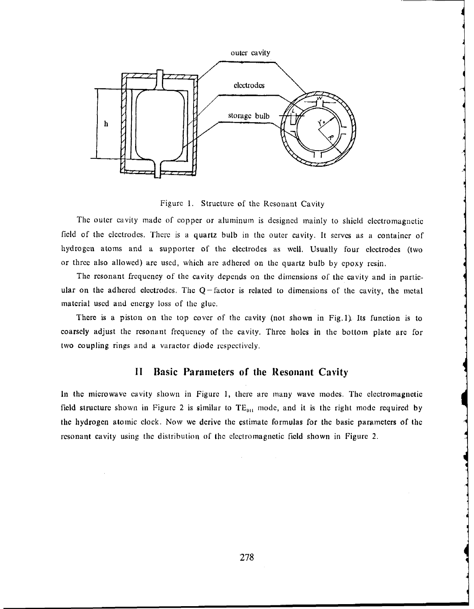

Figure 1. Structure of the Resonant Cavity

The outer cavity made of copper or aluminum is designed mainly to shield electromagnetic field of the electrodes. There is a quartz bulb in the outer cavity. It serves as a container of hydrogen atoms and a supporter of the electrodes as well. Usually four electrodes (two or three also allowed) are used, which are adhered on the quartz bulb by epoxy resin.

The resonant frequency of the cavity depends on the dimensions of the cavity and in particular on the adhered electrodes. The  $Q$ -factor is related to dimensions of the cavity, the metal material used and energy loss of the glue.

There is a piston on the top cover of the cavity (not shown in Fig.1) Its function is to coarsely adjust the resonant frequency of the cavity. Three holes in the bottom plate are for two coupling rings and a varactor diode respectively.

## **II** Basic Parameters of the Resonant Cavity

In the microwave cavity shown in Figure 1, there are many wave modes. The electromagnetic field structure shown in Figure 2 is similar to  $TE_{011}$  mode, and it is the right mode required by the hydrogen atomic clock. Now we derive the estimate formulas for the basic parameters of the resonant cavity using the distribution of the electromagnetic field shown in Figure 2.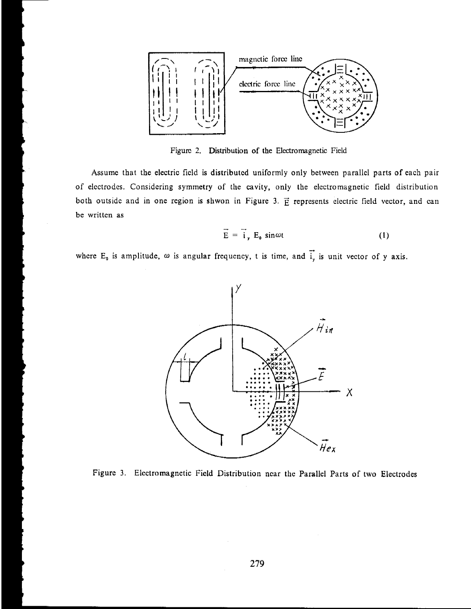

Figurc 2. Distribution of the Elcctromagnetic Field

**Assurnc** that the electric ficld is distributcd uniformly only between parallel parts of each pair of electrodes. Considering symmetry of the cavity, only the electromagnetic field distribution both outside and in one region is shwon in Figure 3.  $\vec{E}$  represents electric field vector, and can be writtcn **as** 

$$
\vec{E} = \vec{i}, E_0 \sin \omega t \tag{1}
$$

 $E = I_y L_0 \sin \omega t$ <br>where  $E_0$  is amplitude,  $\omega$  is angular frequency, t is time, and  $\vec{i}$ , is unit vector of y axis.



Figurc **3.** Elcctromagnetic Ficld Distribution near the Parallel Parts of **two** Electrodes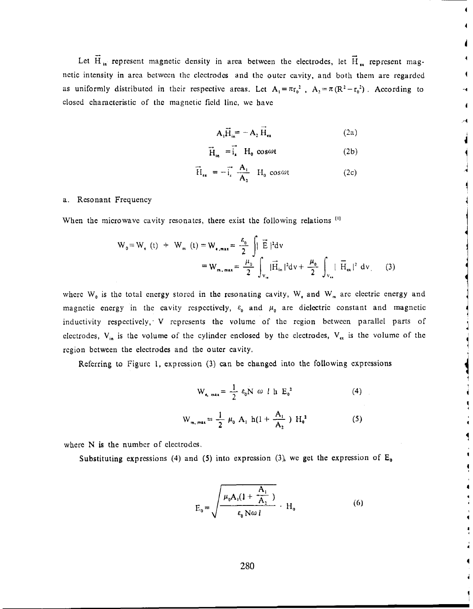$\vec{F}$  - containst meanatic density in ergo between the electrodes let  $\vec{F}$ Let  $\vec{H}$ <sub>in</sub> represent magnetic density in area between the electrodes, let  $\vec{H}$ <sub>ex</sub> represent magnctic intensity in area between the electrodes and the outer cavity, and both them are regarded as uniformly distributed in their respective areas. Let  $A_1 = \pi r_0^2$ ,  $A_2 = \pi (R^2 - r_0^2)$ . According to closed characteristic of the magnetic field line, we have

$$
A_1 \vec{H}_{in} = -A_2 H_{\alpha}
$$
 (2a)

$$
\vec{H}_{in} = \vec{i}_a \quad H_0 \cos \omega t \tag{2b}
$$

$$
\overrightarrow{H}_{\epsilon_{\mathbf{x}}} = -\overrightarrow{i}_{\epsilon} \frac{A_{i}}{A_{2}} H_{0} \cos \omega t
$$
 (2c)

### a. Resonant Frequency

When the microwave cavity resonates, there exist the following relations<sup>[1]</sup>

$$
W_0 = W_e (t) + W_m (t) = W_{\epsilon, max} = \frac{\varepsilon_0}{2} \int_0^t \vec{E} |^2 dv
$$
  
=  $W_{m, max} = \frac{\mu_0}{2} \int_{V_m} |\vec{H}_{in}|^2 dv + \frac{\mu_0}{2} \int_{V_m} |\vec{H}_{ex}|^2 dv$  (3)

where  $W_0$  is the total energy stored in the resonating cavity,  $W_a$  and  $W_m$  are electric energy and magnetic energy in the cavity respectively,  $\varepsilon_0$  and  $\mu_0$  are dielectric constant and magnetic inductivity respcctivcly, V rcprcscnts thc volumc of thc rcgion bctwcen parallel parts of clectrodes,  $V_{in}$  is the volume of the cylinder enclosed by the electrodes,  $V_{ex}$  is the volume of the region between the electrodes and the outer cavity.

Rcfcrring to Figure 1, **exprcssion** (3) can **bc changcd** into the following cxprcssions

$$
W_{e, max} = \frac{1}{2} \varepsilon_0 N \omega l h E_0^2
$$
 (4)  

$$
W_{m, max} = \frac{1}{2} \mu_0 A_1 h(l + \frac{A_1}{A_2}) H_0^2
$$
 (5)

where N is the number of electrodes.

Substituting expressions (4) **and** (5) into exprcssion **(31** wc get the expression of **E,** 

$$
E_0 = \sqrt{\frac{\mu_0 A_1 (1 + \frac{A_1}{A_2})}{\epsilon_0 N \omega l}} \cdot H_0
$$
 (6)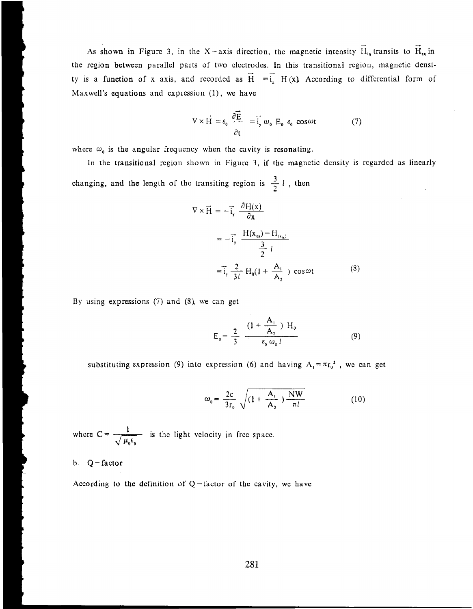As shown in Figure 3, in the X-axis direction, the magnetic intensity  $\vec{H}_{in}$  transits to  $\vec{H}_{ex}$  in the region between parallel parts of two electrodes. In this transitional region, magnetic densi-<br>the second parallel parts and approached as  $\overrightarrow{H} = \overrightarrow{L} + \overrightarrow{H}(\alpha)$ . Also, it also differential from of ty is a function of x axis, and recorded as  $\vec{H} = \vec{i}$ ,  $H(x)$  According to differential form of Maxwell's equations and expression (1), we have

$$
\nabla \times \vec{H} = \varepsilon_0 \frac{\partial \vec{E}}{\partial t} = \vec{i}_y \omega_0 E_0 \varepsilon_0 \cos \omega t \tag{7}
$$

where  $\omega_0$  is the angular frequency when the cavity is resonating.

In the transitional rcgion shown in Figurc 3, if thc magnctic dcnsity is rcgardcd as linearly changing, and the length of the transiting region is  $\frac{3}{2}l$ , then

$$
\nabla \times \vec{H} = -\vec{i}_y \frac{\partial H(x)}{\partial x}
$$
  

$$
= -\vec{i}_y \frac{H(x_{ex}) - H_{(x_{in})}}{\frac{3}{2}l}
$$
  

$$
= \vec{i}_y \frac{2}{3l} H_0(1 + \frac{A_1}{A_2}) \cos \omega t
$$
 (8)

By using expressions (7) and **(8)**, we can get

$$
E_0 = \frac{2}{3} \frac{(1 + \frac{A_1}{A_2}) H_0}{\epsilon_0 \omega_0 l}
$$
 (9)

substituting expression (9) into expression (6) and having  $A_1 = \pi r_0^2$ , we can get

$$
\omega_0 = \frac{2c}{3r_0} \sqrt{(1 + \frac{A_1}{A_2}) \frac{NW}{\pi l}}
$$
 (10)

where  $C = \frac{1}{\sqrt{a}}$  $\sqrt{\mu_0 \epsilon_0}$  is the light velocity in free space.

b.  $Q$  - factor

According to the definition of  $Q$  -factor of the cavity, we have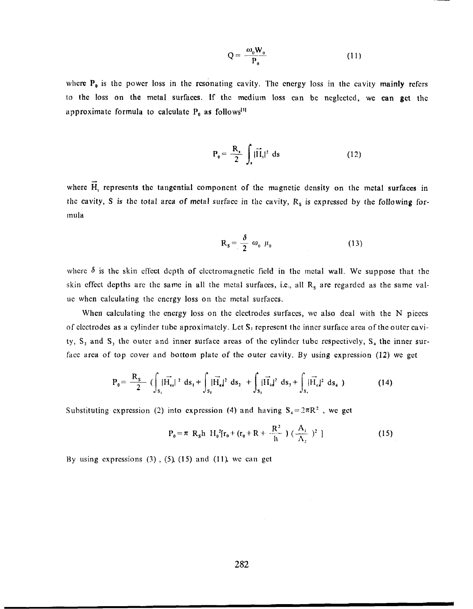$$
Q = \frac{\omega_0 W_0}{P_0} \tag{11}
$$

where  $P_0$  is the power loss in the resonating cavity. The energy loss in the cavity mainly refers to thc loss on **the** metal surface. If thc mcdiuln loss can **bc** ncglcctcd, wc **can get** thc approximate formula to calculate P<sub>0</sub> as follows<sup>[1]</sup>

$$
P_0 = \frac{R_s}{2} \int_s |\vec{H}_t|^2 ds
$$
 (12)

 $\overline{a}$ where H<sub>1</sub> represents the tangential component of the magnetic density on the metal surfaces in the cavity, S is the total area of metal surface in the cavity, R<sub>s</sub> is expressed by the following formula

$$
R_s = \frac{\delta}{2} \omega_0 \mu_0 \tag{13}
$$

where  $\delta$  is the skin effect depth of electromagnetic field in the metal wall. We suppose that the skin effect depths are the same in all the metal surfaces, i.e., all  $R_s$  are regarded as the same value when calculating the energy loss on the metal surfaces.

When calculating the energy loss on the electrodes surfaces, we also deal with the N pieces of electrodes as a cylinder tube aproximately. Let  $S_1$  represent the inner surface area of the outer cavity, S, and **S,** the outcr and inncr surface arcas of **thc** cylindcr tubc rcspcctivcly, **S,** the inner surface area of top cover and bottom plate of the outer cavity. By using expression (12) we get

$$
P_0 = \frac{R_s}{2} \left( \int_{S_1} | \vec{H}_{es} |^2 ds_1 + \int_{S_2} | \vec{H}_{es} |^2 ds_2 \right) + \int_{S_3} | \vec{H}_{is} |^2 ds_3 + \int_{S_4} | \vec{H}_{es} |^2 ds_4 \right) \tag{14}
$$

Substituting expression (2) into expression (4) and having  $S_4 = 2\pi R^2$ , we get

$$
P_0 = \pi R_s h H_0^2 [r_0 + (r_0 + R + \frac{R^2}{h}) (\frac{A_1}{A_2})^2 ]
$$
 (15)

Hy using cxprcssions **(3)** , **(5) (15)** and (I **1)** wc call gct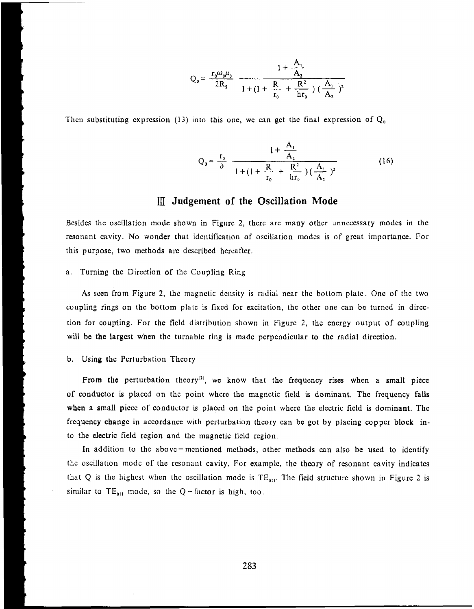$$
Q_0 = \frac{r_0 \omega_0 \mu_0}{2R_s} \frac{1 + \frac{A_1}{A_2}}{1 + (1 + \frac{R}{r_0} + \frac{R^2}{hr_0}) (\frac{A_1}{A_2})^2}
$$

Then substituting expression (13) into this one, we can get the final expression of  $Q_0$ 

$$
Q_0 = \frac{r_0}{\delta} \frac{1 + \frac{A_1}{A_2}}{1 + (1 + \frac{R}{r_0} + \frac{R^2}{hr_0})(\frac{A_1}{A_2})^2}
$$
(16)

## **Judgement of the Oscillation Mode**

Besides the oscillation mode shown in Figure 2, there are many other unnecessary modes in the resonant cavity. No wonder that identification of oscillation modes is of great importance. For this purpose, two methods arc dcscribed hereafter.

### a. Turning the Direction of the Coupling Ring

As scen from Figure 2, the magnetic density is radial near the bottom plate. One of the two coupling rings on thc bottom platc is fixcd for excitation, thc othcr one can bc turned in dircction for coupling. For the ficld distribution shown in Figurc 2, thc cncrgy output of coupling will be the largest when the turnable ring is made perpendicular to the radial direction.

### b. Using **the** Perturbation Thcory

From the perturbation theory<sup>[2]</sup>, we know that the frequency rises when a small piece of conductor is placed on the point where the magnetic field is dominant. The frequency falls when a small piece of conductor is placed on the point where the electric field is dominant. The frcqucncy **change** in accordance with perturbation thcory can bc got by placing copper block into thc electric field rcgion and thc magnetic ficld region.

In addition to the above-mentioned methods, other methods can also be used to identify thc oscillation modc of the rcsonant cavity. For cxamplc, thc thcory of rcsonant cavity indicates that Q is the highest when the oscillation mode is  $TE_{011}$ . The field structure shown in Figure 2 is similar to  $TE_{011}$  mode, so the Q -factor is high, too.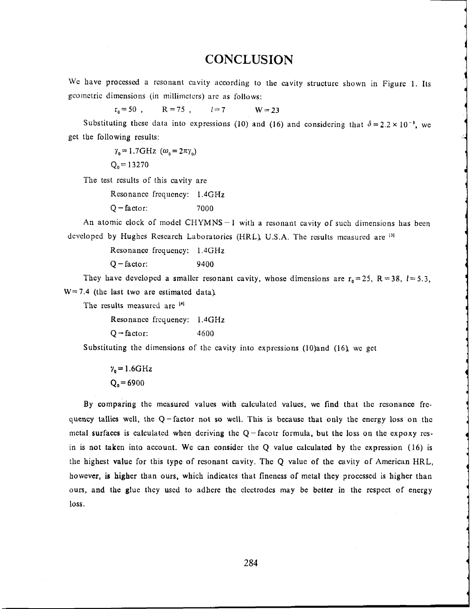## **CONCLUSION**

We have processed a resonant cavity according to the cavity structure shown in Figure 1. Its geometric dimensions (in millimeters) are as follows:

 $r_a = 50$ ,  $R = 75$ ,  $l = 7$   $W = 23$ 

Substituting these data into expressions (10) and (16) and considering that  $\delta = 2.2 \times 10^{-3}$ , we get the following rcsults:

> $\gamma_0 = 1.7 \text{GHz}$  ( $\omega_0 = 2\pi \gamma_0$ )  $Q_0 = 13270$

The test rcsults of this cavity are

Resonance frequency: 1.4GHz

 $Q - factor:$  7000

An atomic clock of model CHYMNS-1 with a resonant cavity of such dimensions has been dcvcloped by Hughes Research Laboratorics (HRL), U.S.A. The results measured are <sup>[3]</sup>

Resonance frequency: **1.4GHz** 

 $Q$  – factor: 9400

They have developed a smaller resonant cavity, whose dimensions are  $r_0 = 25$ ,  $R = 38$ ,  $l = 5.3$ ,  $W = 7.4$  (the last two are estimated data).

Thc rcsults mcasurcd **arc** 

Resonancc frequency: **1.4GHz** 

 $Q$  -factor:  $4600$ 

Substituting the dimensions of the cavity into expressions (10)and (16), we get

 $\gamma_0 = 1.6 \text{GHz}$  $Q_0 = 6900$ 

By comparing thc mcasurcd valucs with calculatcd valucs, wc find that thc rcsonancc **frc**quency tallics wcll, the Q-factor not so wcll. This **is** bccausc **that** only thc cncrgy loss on thc  $m$ ctal surfaces is calculated when deriving the  $Q$ -facotr formula, but the loss on the expoxy resin is **not** taken into account. We can consider the Q value calculated by the expression (16) is thc highest **value** for this typc of rcsonant cavity. Thc Q valuc of thc cavity of Amcrican HRL, howcver, is **higher** than ours, which indicates that fincncss of **metal they** proccsscd is higher than ours, and **the** gluc they uscd to **adhcre** thc clcctrodcs may **be** *bctter* in thc rcspcct of energy loss.